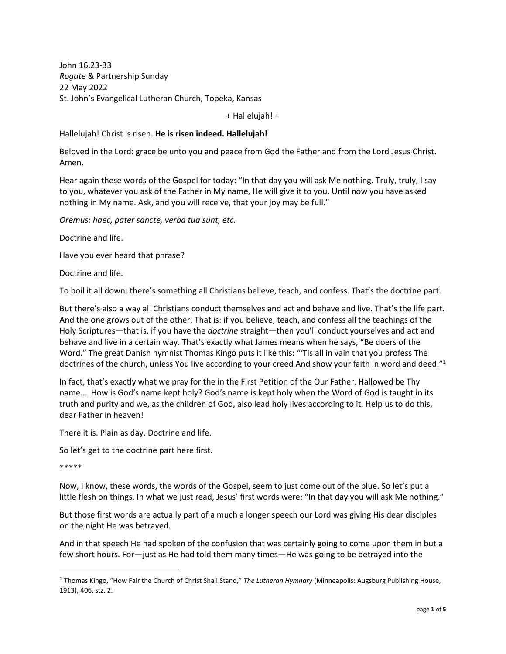John 16.23-33 *Rogate* & Partnership Sunday 22 May 2022 St. John's Evangelical Lutheran Church, Topeka, Kansas

+ Hallelujah! +

## Hallelujah! Christ is risen. **He is risen indeed. Hallelujah!**

Beloved in the Lord: grace be unto you and peace from God the Father and from the Lord Jesus Christ. Amen.

Hear again these words of the Gospel for today: "In that day you will ask Me nothing. Truly, truly, I say to you, whatever you ask of the Father in My name, He will give it to you. Until now you have asked nothing in My name. Ask, and you will receive, that your joy may be full."

*Oremus: haec, pater sancte, verba tua sunt, etc.* 

Doctrine and life.

Have you ever heard that phrase?

Doctrine and life.

To boil it all down: there's something all Christians believe, teach, and confess. That's the doctrine part.

But there's also a way all Christians conduct themselves and act and behave and live. That's the life part. And the one grows out of the other. That is: if you believe, teach, and confess all the teachings of the Holy Scriptures—that is, if you have the *doctrine* straight—then you'll conduct yourselves and act and behave and live in a certain way. That's exactly what James means when he says, "Be doers of the Word." The great Danish hymnist Thomas Kingo puts it like this: "'Tis all in vain that you profess The doctrines of the church, unless You live according to your creed And show your faith in word and deed."<sup>1</sup>

In fact, that's exactly what we pray for the in the First Petition of the Our Father. Hallowed be Thy name…. How is God's name kept holy? God's name is kept holy when the Word of God is taught in its truth and purity and we, as the children of God, also lead holy lives according to it. Help us to do this, dear Father in heaven!

There it is. Plain as day. Doctrine and life.

So let's get to the doctrine part here first.

\*\*\*\*\*

Now, I know, these words, the words of the Gospel, seem to just come out of the blue. So let's put a little flesh on things. In what we just read, Jesus' first words were: "In that day you will ask Me nothing."

But those first words are actually part of a much a longer speech our Lord was giving His dear disciples on the night He was betrayed.

And in that speech He had spoken of the confusion that was certainly going to come upon them in but a few short hours. For—just as He had told them many times—He was going to be betrayed into the

<sup>1</sup> Thomas Kingo, "How Fair the Church of Christ Shall Stand," *The Lutheran Hymnary* (Minneapolis: Augsburg Publishing House, 1913), 406, stz. 2.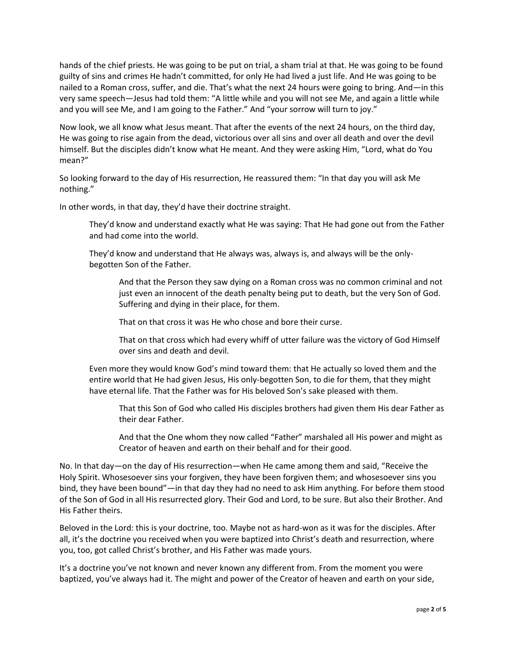hands of the chief priests. He was going to be put on trial, a sham trial at that. He was going to be found guilty of sins and crimes He hadn't committed, for only He had lived a just life. And He was going to be nailed to a Roman cross, suffer, and die. That's what the next 24 hours were going to bring. And—in this very same speech—Jesus had told them: "A little while and you will not see Me, and again a little while and you will see Me, and I am going to the Father." And "your sorrow will turn to joy."

Now look, we all know what Jesus meant. That after the events of the next 24 hours, on the third day, He was going to rise again from the dead, victorious over all sins and over all death and over the devil himself. But the disciples didn't know what He meant. And they were asking Him, "Lord, what do You mean?"

So looking forward to the day of His resurrection, He reassured them: "In that day you will ask Me nothing."

In other words, in that day, they'd have their doctrine straight.

They'd know and understand exactly what He was saying: That He had gone out from the Father and had come into the world.

They'd know and understand that He always was, always is, and always will be the onlybegotten Son of the Father.

And that the Person they saw dying on a Roman cross was no common criminal and not just even an innocent of the death penalty being put to death, but the very Son of God. Suffering and dying in their place, for them.

That on that cross it was He who chose and bore their curse.

That on that cross which had every whiff of utter failure was the victory of God Himself over sins and death and devil.

Even more they would know God's mind toward them: that He actually so loved them and the entire world that He had given Jesus, His only-begotten Son, to die for them, that they might have eternal life. That the Father was for His beloved Son's sake pleased with them.

That this Son of God who called His disciples brothers had given them His dear Father as their dear Father.

And that the One whom they now called "Father" marshaled all His power and might as Creator of heaven and earth on their behalf and for their good.

No. In that day—on the day of His resurrection—when He came among them and said, "Receive the Holy Spirit. Whosesoever sins your forgiven, they have been forgiven them; and whosesoever sins you bind, they have been bound"—in that day they had no need to ask Him anything. For before them stood of the Son of God in all His resurrected glory. Their God and Lord, to be sure. But also their Brother. And His Father theirs.

Beloved in the Lord: this is your doctrine, too. Maybe not as hard-won as it was for the disciples. After all, it's the doctrine you received when you were baptized into Christ's death and resurrection, where you, too, got called Christ's brother, and His Father was made yours.

It's a doctrine you've not known and never known any different from. From the moment you were baptized, you've always had it. The might and power of the Creator of heaven and earth on your side,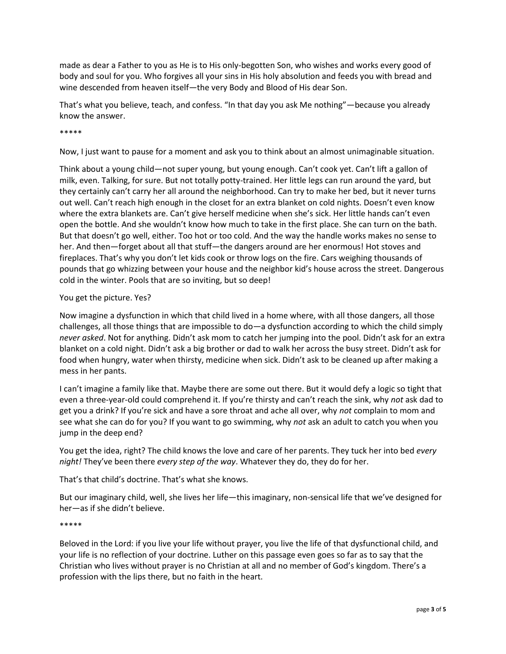made as dear a Father to you as He is to His only-begotten Son, who wishes and works every good of body and soul for you. Who forgives all your sins in His holy absolution and feeds you with bread and wine descended from heaven itself—the very Body and Blood of His dear Son.

That's what you believe, teach, and confess. "In that day you ask Me nothing"—because you already know the answer.

\*\*\*\*\*

Now, I just want to pause for a moment and ask you to think about an almost unimaginable situation.

Think about a young child—not super young, but young enough. Can't cook yet. Can't lift a gallon of milk, even. Talking, for sure. But not totally potty-trained. Her little legs can run around the yard, but they certainly can't carry her all around the neighborhood. Can try to make her bed, but it never turns out well. Can't reach high enough in the closet for an extra blanket on cold nights. Doesn't even know where the extra blankets are. Can't give herself medicine when she's sick. Her little hands can't even open the bottle. And she wouldn't know how much to take in the first place. She can turn on the bath. But that doesn't go well, either. Too hot or too cold. And the way the handle works makes no sense to her. And then—forget about all that stuff—the dangers around are her enormous! Hot stoves and fireplaces. That's why you don't let kids cook or throw logs on the fire. Cars weighing thousands of pounds that go whizzing between your house and the neighbor kid's house across the street. Dangerous cold in the winter. Pools that are so inviting, but so deep!

## You get the picture. Yes?

Now imagine a dysfunction in which that child lived in a home where, with all those dangers, all those challenges, all those things that are impossible to do—a dysfunction according to which the child simply *never asked*. Not for anything. Didn't ask mom to catch her jumping into the pool. Didn't ask for an extra blanket on a cold night. Didn't ask a big brother or dad to walk her across the busy street. Didn't ask for food when hungry, water when thirsty, medicine when sick. Didn't ask to be cleaned up after making a mess in her pants.

I can't imagine a family like that. Maybe there are some out there. But it would defy a logic so tight that even a three-year-old could comprehend it. If you're thirsty and can't reach the sink, why *not* ask dad to get you a drink? If you're sick and have a sore throat and ache all over, why *not* complain to mom and see what she can do for you? If you want to go swimming, why *not* ask an adult to catch you when you jump in the deep end?

You get the idea, right? The child knows the love and care of her parents. They tuck her into bed *every night!* They've been there *every step of the way*. Whatever they do, they do for her.

That's that child's doctrine. That's what she knows.

But our imaginary child, well, she lives her life—this imaginary, non-sensical life that we've designed for her—as if she didn't believe.

## \*\*\*\*\*

Beloved in the Lord: if you live your life without prayer, you live the life of that dysfunctional child, and your life is no reflection of your doctrine. Luther on this passage even goes so far as to say that the Christian who lives without prayer is no Christian at all and no member of God's kingdom. There's a profession with the lips there, but no faith in the heart.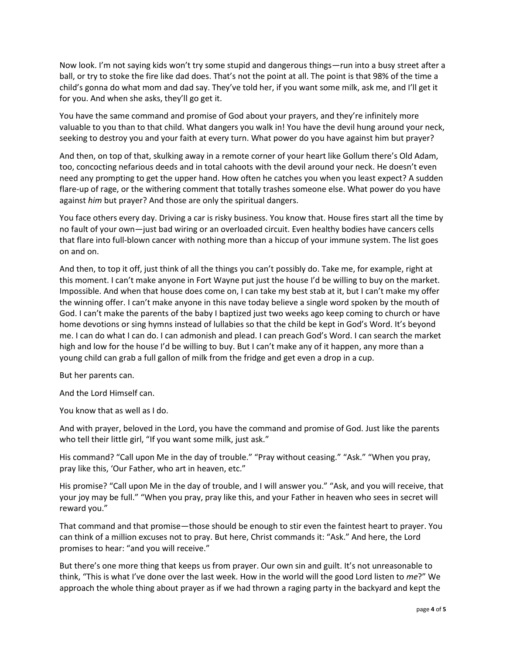Now look. I'm not saying kids won't try some stupid and dangerous things—run into a busy street after a ball, or try to stoke the fire like dad does. That's not the point at all. The point is that 98% of the time a child's gonna do what mom and dad say. They've told her, if you want some milk, ask me, and I'll get it for you. And when she asks, they'll go get it.

You have the same command and promise of God about your prayers, and they're infinitely more valuable to you than to that child. What dangers you walk in! You have the devil hung around your neck, seeking to destroy you and your faith at every turn. What power do you have against him but prayer?

And then, on top of that, skulking away in a remote corner of your heart like Gollum there's Old Adam, too, concocting nefarious deeds and in total cahoots with the devil around your neck. He doesn't even need any prompting to get the upper hand. How often he catches you when you least expect? A sudden flare-up of rage, or the withering comment that totally trashes someone else. What power do you have against *him* but prayer? And those are only the spiritual dangers.

You face others every day. Driving a car is risky business. You know that. House fires start all the time by no fault of your own—just bad wiring or an overloaded circuit. Even healthy bodies have cancers cells that flare into full-blown cancer with nothing more than a hiccup of your immune system. The list goes on and on.

And then, to top it off, just think of all the things you can't possibly do. Take me, for example, right at this moment. I can't make anyone in Fort Wayne put just the house I'd be willing to buy on the market. Impossible. And when that house does come on, I can take my best stab at it, but I can't make my offer the winning offer. I can't make anyone in this nave today believe a single word spoken by the mouth of God. I can't make the parents of the baby I baptized just two weeks ago keep coming to church or have home devotions or sing hymns instead of lullabies so that the child be kept in God's Word. It's beyond me. I can do what I can do. I can admonish and plead. I can preach God's Word. I can search the market high and low for the house I'd be willing to buy. But I can't make any of it happen, any more than a young child can grab a full gallon of milk from the fridge and get even a drop in a cup.

But her parents can.

And the Lord Himself can.

You know that as well as I do.

And with prayer, beloved in the Lord, you have the command and promise of God. Just like the parents who tell their little girl, "If you want some milk, just ask."

His command? "Call upon Me in the day of trouble." "Pray without ceasing." "Ask." "When you pray, pray like this, 'Our Father, who art in heaven, etc."

His promise? "Call upon Me in the day of trouble, and I will answer you." "Ask, and you will receive, that your joy may be full." "When you pray, pray like this, and your Father in heaven who sees in secret will reward you."

That command and that promise—those should be enough to stir even the faintest heart to prayer. You can think of a million excuses not to pray. But here, Christ commands it: "Ask." And here, the Lord promises to hear: "and you will receive."

But there's one more thing that keeps us from prayer. Our own sin and guilt. It's not unreasonable to think, "This is what I've done over the last week. How in the world will the good Lord listen to *me*?" We approach the whole thing about prayer as if we had thrown a raging party in the backyard and kept the